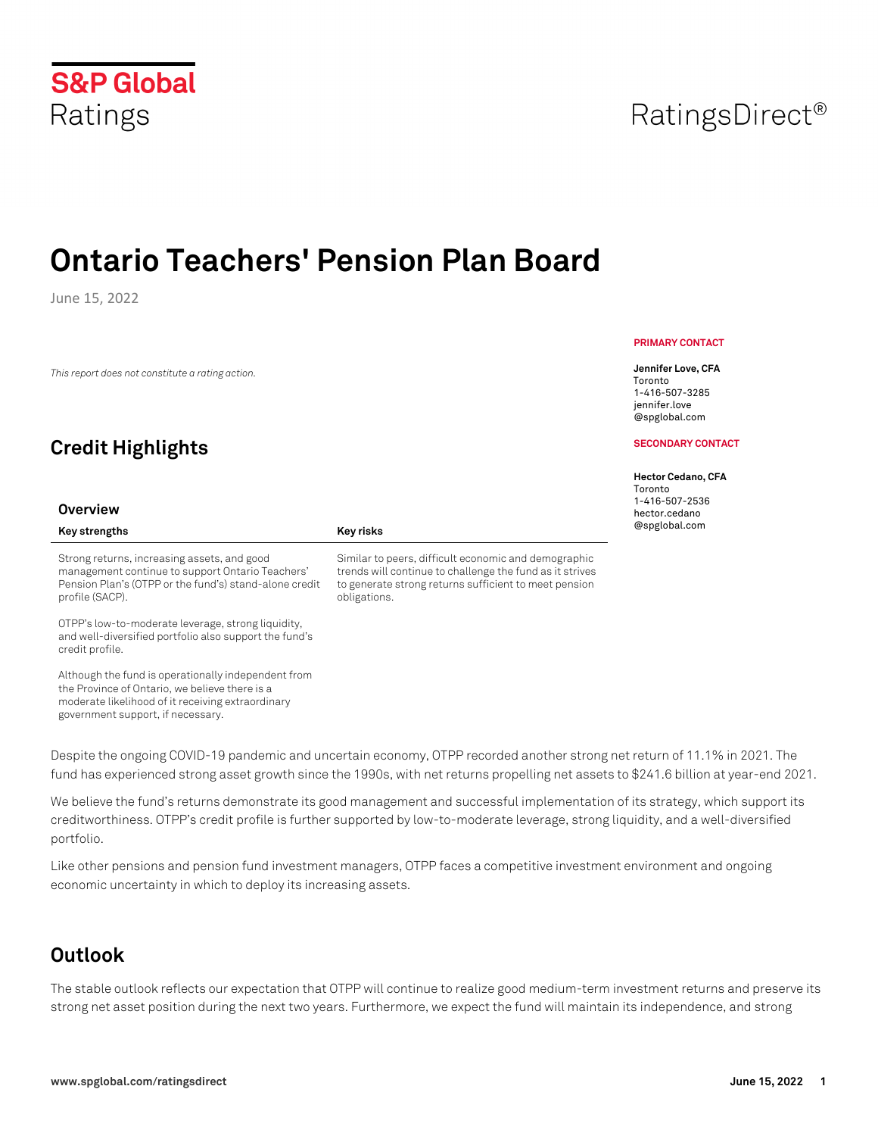# **S&P Global** Ratings

# **Ontario Teachers' Pension Plan Board**

June 15, 2022

*This report does not constitute a rating action.*

## **Credit Highlights**

#### **Overview**

#### Key strengths **Key risks Key risks**

Strong returns, increasing assets, and good management continue to support Ontario Teachers' Pension Plan's (OTPP or the fund's) stand-alone credit profile (SACP).

OTPP's low-to-moderate leverage, strong liquidity, and well-diversified portfolio also support the fund's credit profile.

Although the fund is operationally independent from the Province of Ontario, we believe there is a moderate likelihood of it receiving extraordinary government support, if necessary.

## **PRIMARY CONTACT**

**Jennifer Love, CFA** Toronto 1-416-507-3285 jennifer.love @spglobal.com

#### **SECONDARY CONTACT**

#### **Hector Cedano, CFA**

Toronto 1-416-507-2536 hector.cedano @spglobal.com

Despite the ongoing COVID-19 pandemic and uncertain economy, OTPP recorded another strong net return of 11.1% in 2021. The fund has experienced strong asset growth since the 1990s, with net returns propelling net assets to \$241.6 billion at year-end 2021.

Similar to peers, difficult economic and demographic trends will continue to challenge the fund as it strives to generate strong returns sufficient to meet pension

We believe the fund's returns demonstrate its good management and successful implementation of its strategy, which support its creditworthiness. OTPP's credit profile is further supported by low-to-moderate leverage, strong liquidity, and a well-diversified portfolio.

Like other pensions and pension fund investment managers, OTPP faces a competitive investment environment and ongoing economic uncertainty in which to deploy its increasing assets.

## **Outlook**

The stable outlook reflects our expectation that OTPP will continue to realize good medium-term investment returns and preserve its strong net asset position during the next two years. Furthermore, we expect the fund will maintain its independence, and strong

# RatingsDirect<sup>®</sup>

obligations.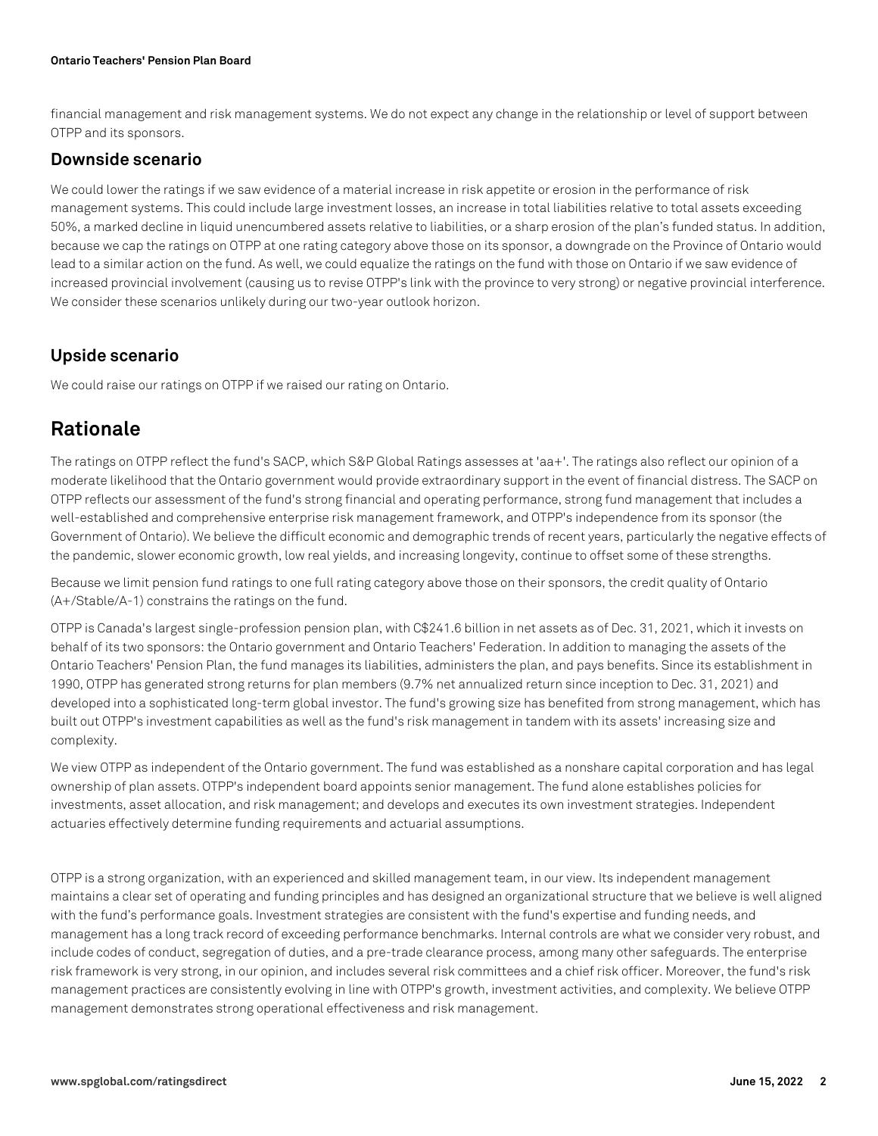#### **Ontario Teachers' Pension Plan Board**

financial management and risk management systems. We do not expect any change in the relationship or level of support between OTPP and its sponsors.

#### **Downside scenario**

We could lower the ratings if we saw evidence of a material increase in risk appetite or erosion in the performance of risk management systems. This could include large investment losses, an increase in total liabilities relative to total assets exceeding 50%, a marked decline in liquid unencumbered assets relative to liabilities, or a sharp erosion of the plan's funded status. In addition, because we cap the ratings on OTPP at one rating category above those on its sponsor, a downgrade on the Province of Ontario would lead to a similar action on the fund. As well, we could equalize the ratings on the fund with those on Ontario if we saw evidence of increased provincial involvement (causing us to revise OTPP's link with the province to very strong) or negative provincial interference. We consider these scenarios unlikely during our two-year outlook horizon.

### **Upside scenario**

We could raise our ratings on OTPP if we raised our rating on Ontario.

## **Rationale**

The ratings on OTPP reflect the fund's SACP, which S&P Global Ratings assesses at 'aa+'. The ratings also reflect our opinion of a moderate likelihood that the Ontario government would provide extraordinary support in the event of financial distress. The SACP on OTPP reflects our assessment of the fund's strong financial and operating performance, strong fund management that includes a well-established and comprehensive enterprise risk management framework, and OTPP's independence from its sponsor (the Government of Ontario). We believe the difficult economic and demographic trends of recent years, particularly the negative effects of the pandemic, slower economic growth, low real yields, and increasing longevity, continue to offset some of these strengths.

Because we limit pension fund ratings to one full rating category above those on their sponsors, the credit quality of Ontario (A+/Stable/A-1) constrains the ratings on the fund.

OTPP is Canada's largest single-profession pension plan, with C\$241.6 billion in net assets as of Dec. 31, 2021, which it invests on behalf of its two sponsors: the Ontario government and Ontario Teachers' Federation. In addition to managing the assets of the Ontario Teachers' Pension Plan, the fund manages its liabilities, administers the plan, and pays benefits. Since its establishment in 1990, OTPP has generated strong returns for plan members (9.7% net annualized return since inception to Dec. 31, 2021) and developed into a sophisticated long-term global investor. The fund's growing size has benefited from strong management, which has built out OTPP's investment capabilities as well as the fund's risk management in tandem with its assets' increasing size and complexity.

We view OTPP as independent of the Ontario government. The fund was established as a nonshare capital corporation and has legal ownership of plan assets. OTPP's independent board appoints senior management. The fund alone establishes policies for investments, asset allocation, and risk management; and develops and executes its own investment strategies. Independent actuaries effectively determine funding requirements and actuarial assumptions.

OTPP is a strong organization, with an experienced and skilled management team, in our view. Its independent management maintains a clear set of operating and funding principles and has designed an organizational structure that we believe is well aligned with the fund's performance goals. Investment strategies are consistent with the fund's expertise and funding needs, and management has a long track record of exceeding performance benchmarks. Internal controls are what we consider very robust, and include codes of conduct, segregation of duties, and a pre-trade clearance process, among many other safeguards. The enterprise risk framework is very strong, in our opinion, and includes several risk committees and a chief risk officer. Moreover, the fund's risk management practices are consistently evolving in line with OTPP's growth, investment activities, and complexity. We believe OTPP management demonstrates strong operational effectiveness and risk management.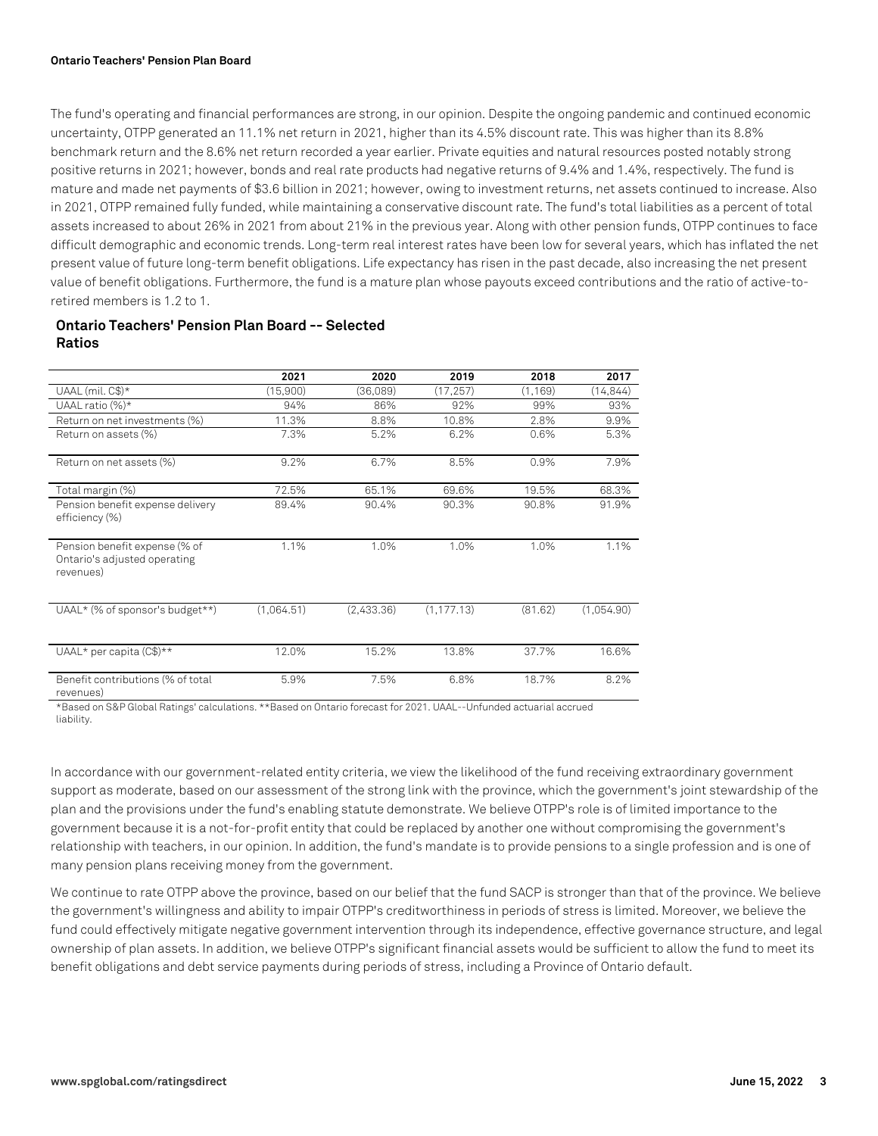#### **Ontario Teachers' Pension Plan Board**

The fund's operating and financial performances are strong, in our opinion. Despite the ongoing pandemic and continued economic uncertainty, OTPP generated an 11.1% net return in 2021, higher than its 4.5% discount rate. This was higher than its 8.8% benchmark return and the 8.6% net return recorded a year earlier. Private equities and natural resources posted notably strong positive returns in 2021; however, bonds and real rate products had negative returns of 9.4% and 1.4%, respectively. The fund is mature and made net payments of \$3.6 billion in 2021; however, owing to investment returns, net assets continued to increase. Also in 2021, OTPP remained fully funded, while maintaining a conservative discount rate. The fund's total liabilities as a percent of total assets increased to about 26% in 2021 from about 21% in the previous year. Along with other pension funds, OTPP continues to face difficult demographic and economic trends. Long-term real interest rates have been low for several years, which has inflated the net present value of future long-term benefit obligations. Life expectancy has risen in the past decade, also increasing the net present value of benefit obligations. Furthermore, the fund is a mature plan whose payouts exceed contributions and the ratio of active-toretired members is 1.2 to 1.

#### **Ontario Teachers' Pension Plan Board -- Selected Ratios**

|                                                                            | 2021       | 2020       | 2019        | 2018     | 2017       |
|----------------------------------------------------------------------------|------------|------------|-------------|----------|------------|
| UAAL (mil. C\$)*                                                           | (15,900)   | (36,089)   | (17, 257)   | (1, 169) | (14, 844)  |
| UAAL ratio (%)*                                                            | 94%        | 86%        | 92%         | 99%      | 93%        |
| Return on net investments (%)                                              | 11.3%      | 8.8%       | 10.8%       | 2.8%     | 9.9%       |
| Return on assets (%)                                                       | 7.3%       | 5.2%       | 6.2%        | 0.6%     | 5.3%       |
| Return on net assets (%)                                                   | 9.2%       | 6.7%       | 8.5%        | 0.9%     | 7.9%       |
| Total margin (%)                                                           | 72.5%      | 65.1%      | 69.6%       | 19.5%    | 68.3%      |
| Pension benefit expense delivery<br>efficiency (%)                         | 89.4%      | 90.4%      | 90.3%       | 90.8%    | 91.9%      |
| Pension benefit expense (% of<br>Ontario's adjusted operating<br>revenues) | 1.1%       | 1.0%       | 1.0%        | 1.0%     | 1.1%       |
| UAAL* (% of sponsor's budget**)                                            | (1,064.51) | (2,433.36) | (1, 177.13) | (81.62)  | (1,054.90) |
| UAAL* per capita (C\$)**                                                   | 12.0%      | 15.2%      | 13.8%       | 37.7%    | 16.6%      |
| Benefit contributions (% of total<br>revenues)                             | 5.9%       | 7.5%       | 6.8%        | 18.7%    | 8.2%       |

\*Based on S&P Global Ratings' calculations. \*\*Based on Ontario forecast for 2021. UAAL--Unfunded actuarial accrued

liability.

In accordance with our government-related entity criteria, we view the likelihood of the fund receiving extraordinary government support as moderate, based on our assessment of the strong link with the province, which the government's joint stewardship of the plan and the provisions under the fund's enabling statute demonstrate. We believe OTPP's role is of limited importance to the government because it is a not-for-profit entity that could be replaced by another one without compromising the government's relationship with teachers, in our opinion. In addition, the fund's mandate is to provide pensions to a single profession and is one of many pension plans receiving money from the government.

We continue to rate OTPP above the province, based on our belief that the fund SACP is stronger than that of the province. We believe the government's willingness and ability to impair OTPP's creditworthiness in periods of stress is limited. Moreover, we believe the fund could effectively mitigate negative government intervention through its independence, effective governance structure, and legal ownership of plan assets. In addition, we believe OTPP's significant financial assets would be sufficient to allow the fund to meet its benefit obligations and debt service payments during periods of stress, including a Province of Ontario default.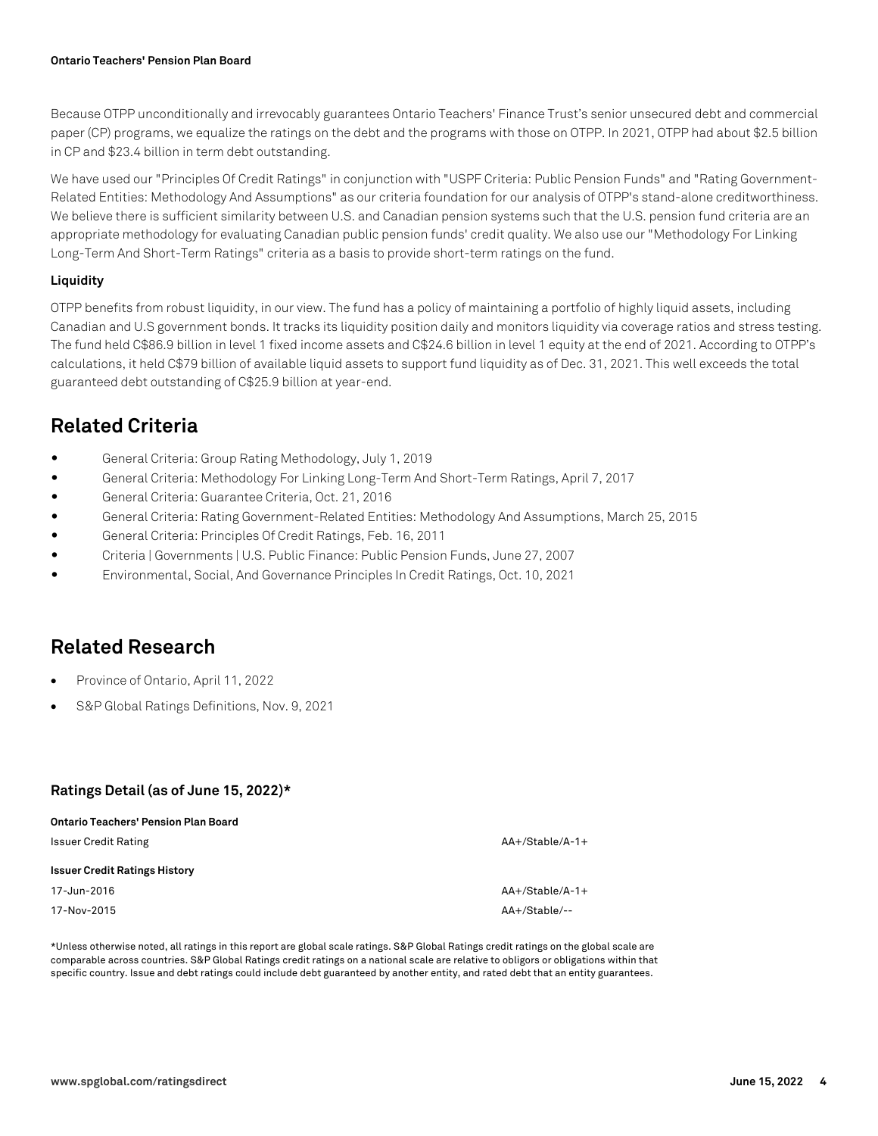Because OTPP unconditionally and irrevocably guarantees Ontario Teachers' Finance Trust's senior unsecured debt and commercial paper (CP) programs, we equalize the ratings on the debt and the programs with those on OTPP. In 2021, OTPP had about \$2.5 billion in CP and \$23.4 billion in term debt outstanding.

We have used our "Principles Of Credit Ratings" in conjunction with "USPF Criteria: Public Pension Funds" and "Rating Government-Related Entities: Methodology And Assumptions" as our criteria foundation for our analysis of OTPP's stand-alone creditworthiness. We believe there is sufficient similarity between U.S. and Canadian pension systems such that the U.S. pension fund criteria are an appropriate methodology for evaluating Canadian public pension funds' credit quality. We also use our "Methodology For Linking Long-Term And Short-Term Ratings" criteria as a basis to provide short-term ratings on the fund.

#### **Liquidity**

OTPP benefits from robust liquidity, in our view. The fund has a policy of maintaining a portfolio of highly liquid assets, including Canadian and U.S government bonds. It tracks its liquidity position daily and monitors liquidity via coverage ratios and stress testing. The fund held C\$86.9 billion in level 1 fixed income assets and C\$24.6 billion in level 1 equity at the end of 2021. According to OTPP's calculations, it held C\$79 billion of available liquid assets to support fund liquidity as of Dec. 31, 2021. This well exceeds the total guaranteed debt outstanding of C\$25.9 billion at year-end.

## **Related Criteria**

- General Criteria: Group Rating Methodology, July 1, 2019
- General Criteria: Methodology For Linking Long-Term And Short-Term Ratings, April 7, 2017
- General Criteria: Guarantee Criteria, Oct. 21, 2016
- General Criteria: Rating Government-Related Entities: Methodology And Assumptions, March 25, 2015
- General Criteria: Principles Of Credit Ratings, Feb. 16, 2011
- Criteria | Governments | U.S. Public Finance: Public Pension Funds, June 27, 2007
- Environmental, Social, And Governance Principles In Credit Ratings, Oct. 10, 2021

### **Related Research**

- Province of Ontario, April 11, 2022
- S&P Global Ratings Definitions, Nov. 9, 2021

#### **Ratings Detail (as of June 15, 2022)\***

| <b>Ontario Teachers' Pension Plan Board</b> |                   |
|---------------------------------------------|-------------------|
| <b>Issuer Credit Rating</b>                 | $AA+/Stable/A-1+$ |
| <b>Issuer Credit Ratings History</b>        |                   |
| 17-Jun-2016                                 | $AA+/Stable/A-1+$ |
| 17-Nov-2015                                 | AA+/Stable/--     |

\*Unless otherwise noted, all ratings in this report are global scale ratings. S&P Global Ratings credit ratings on the global scale are comparable across countries. S&P Global Ratings credit ratings on a national scale are relative to obligors or obligations within that specific country. Issue and debt ratings could include debt guaranteed by another entity, and rated debt that an entity guarantees.